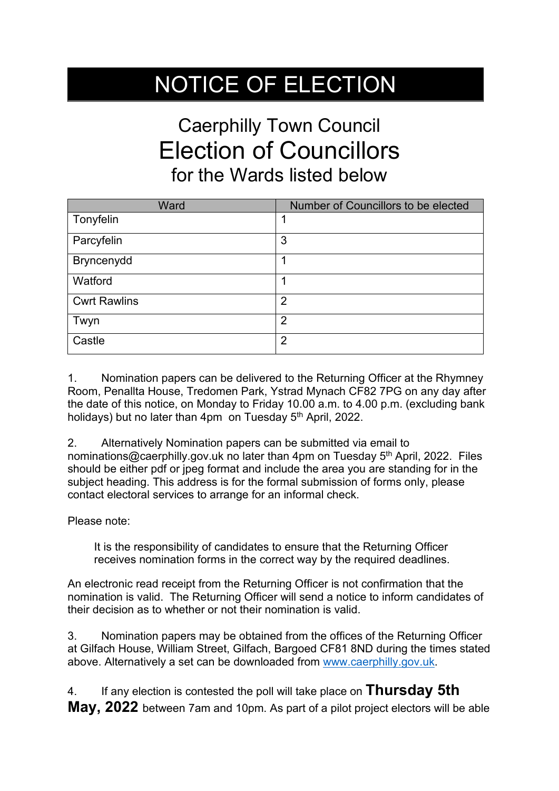## NOTICE OF ELECTION

## Caerphilly Town Council Election of Councillors for the Wards listed below

| Ward                | Number of Councillors to be elected |
|---------------------|-------------------------------------|
| Tonyfelin           |                                     |
| Parcyfelin          | 3                                   |
| Bryncenydd          | 1                                   |
| Watford             | 1                                   |
| <b>Cwrt Rawlins</b> | 2                                   |
| Twyn                | $\overline{2}$                      |
| Castle              | $\overline{2}$                      |

1. Nomination papers can be delivered to the Returning Officer at the Rhymney Room, Penallta House, Tredomen Park, Ystrad Mynach CF82 7PG on any day after the date of this notice, on Monday to Friday 10.00 a.m. to 4.00 p.m. (excluding bank holidays) but no later than 4pm on Tuesday 5<sup>th</sup> April, 2022.

2. Alternatively Nomination papers can be submitted via email to nominations@caerphilly.gov.uk no later than 4pm on Tuesday 5<sup>th</sup> April, 2022. Files should be either pdf or jpeg format and include the area you are standing for in the subject heading. This address is for the formal submission of forms only, please contact electoral services to arrange for an informal check.

Please note:

It is the responsibility of candidates to ensure that the Returning Officer receives nomination forms in the correct way by the required deadlines.

An electronic read receipt from the Returning Officer is not confirmation that the nomination is valid. The Returning Officer will send a notice to inform candidates of their decision as to whether or not their nomination is valid.

3. Nomination papers may be obtained from the offices of the Returning Officer at Gilfach House, William Street, Gilfach, Bargoed CF81 8ND during the times stated above. Alternatively a set can be downloaded from [www.caerphilly.gov.uk.](http://www.caerphilly.gov.uk/)

4. If any election is contested the poll will take place on **Thursday 5th May, 2022** between 7am and 10pm. As part of a pilot project electors will be able